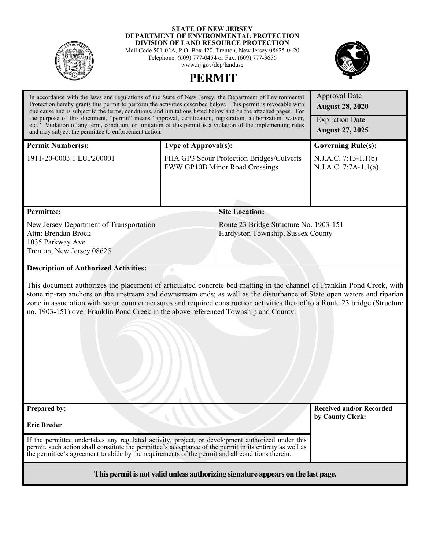

#### **STATE OF NEW JERSEY DEPARTMENT OF ENVIRONMENTAL PROTECTION DIVISION OF LAND RESOURCE PROTECTION**

Mail Code 501-02A, P.O. Box 420, Trenton, New Jersey 08625-0420 Telephone: (609) 777-0454 or Fax: (609) 777-3656 www.nj.gov/dep/landuse

**PERMIT** 



# Approval Date **August 28, 2020** In accordance with the laws and regulations of the State of New Jersey, the Department of Environmental Protection hereby grants this permit to perform the activities described below. This permit is revocable with due cause and is subject to the terms, conditions, and limitations listed below and on the attached pages. For the purpose of this document, "permit" means "approval, certification, registration, authorization, waiver, etc." Violation of any term, condition, or limitation of this permit is a violation of the implementing rules and may subject the permittee to enforcement action. Expiration Date **August 27, 2025 Permit Number(s):** 1911-20-0003.1 LUP200001 **Type of Approval(s):** FHA GP3 Scour Protection Bridges/Culverts FWW GP10B Minor Road Crossings **Governing Rule(s):** N.J.A.C. 7:13-1.1(b) N.J.A.C. 7:7A-1.1(a) **Permittee:**  New Jersey Department of Transportation Attn: Brendan Brock 1035 Parkway Ave Trenton, New Jersey 08625 **Site Location:** Route 23 Bridge Structure No. 1903-151 Hardyston Township, Sussex County **Description of Authorized Activities:** This document authorizes the placement of articulated concrete bed matting in the channel of Franklin Pond Creek, with stone rip-rap anchors on the upstream and downstream ends; as well as the disturbance of State open waters and riparian zone in association with scour countermeasures and required construction activities thereof to a Route 23 bridge (Structure no. 1903-151) over Franklin Pond Creek in the above referenced Township and County. **Prepared by: Eric Breder**  If the permittee undertakes any regulated activity, project, or development authorized under this permit, such action shall constitute the permittee's acceptance of the permit in its entirety as well as the permittee's agreement to abide by the requirements of the permit and all conditions therein. **Received and/or Recorded by County Clerk:**

**This permit is not valid unless authorizing signature appears on the last page.**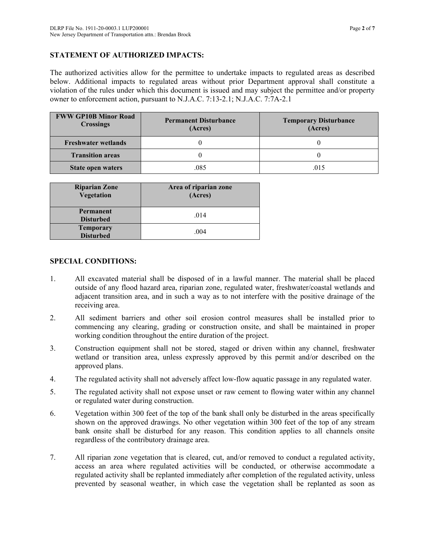### **STATEMENT OF AUTHORIZED IMPACTS:**

The authorized activities allow for the permittee to undertake impacts to regulated areas as described below. Additional impacts to regulated areas without prior Department approval shall constitute a violation of the rules under which this document is issued and may subject the permittee and/or property owner to enforcement action, pursuant to N.J.A.C. 7:13-2.1; N.J.A.C. 7:7A-2.1

| <b>FWW GP10B Minor Road</b><br><b>Crossings</b> | <b>Permanent Disturbance</b><br>(Acres) | <b>Temporary Disturbance</b><br>(Acres) |
|-------------------------------------------------|-----------------------------------------|-----------------------------------------|
| <b>Freshwater wetlands</b>                      |                                         |                                         |
| <b>Transition areas</b>                         |                                         |                                         |
| <b>State open waters</b>                        | .085                                    | .015                                    |

| <b>Riparian Zone</b><br><b>Vegetation</b> | Area of riparian zone<br>(Acres) |
|-------------------------------------------|----------------------------------|
| Permanent<br><b>Disturbed</b>             | .014                             |
| <b>Temporary</b><br><b>Disturbed</b>      | .004                             |

### **SPECIAL CONDITIONS:**

- 1. All excavated material shall be disposed of in a lawful manner. The material shall be placed outside of any flood hazard area, riparian zone, regulated water, freshwater/coastal wetlands and adjacent transition area, and in such a way as to not interfere with the positive drainage of the receiving area.
- 2. All sediment barriers and other soil erosion control measures shall be installed prior to commencing any clearing, grading or construction onsite, and shall be maintained in proper working condition throughout the entire duration of the project.
- 3. Construction equipment shall not be stored, staged or driven within any channel, freshwater wetland or transition area, unless expressly approved by this permit and/or described on the approved plans.
- 4. The regulated activity shall not adversely affect low-flow aquatic passage in any regulated water.
- 5. The regulated activity shall not expose unset or raw cement to flowing water within any channel or regulated water during construction.
- 6. Vegetation within 300 feet of the top of the bank shall only be disturbed in the areas specifically shown on the approved drawings. No other vegetation within 300 feet of the top of any stream bank onsite shall be disturbed for any reason. This condition applies to all channels onsite regardless of the contributory drainage area.
- 7. All riparian zone vegetation that is cleared, cut, and/or removed to conduct a regulated activity, access an area where regulated activities will be conducted, or otherwise accommodate a regulated activity shall be replanted immediately after completion of the regulated activity, unless prevented by seasonal weather, in which case the vegetation shall be replanted as soon as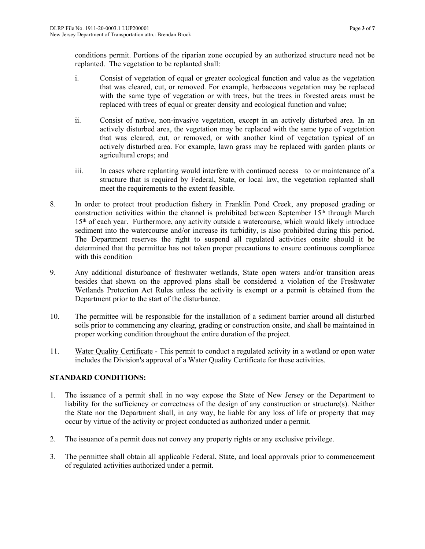conditions permit. Portions of the riparian zone occupied by an authorized structure need not be replanted. The vegetation to be replanted shall:

- i. Consist of vegetation of equal or greater ecological function and value as the vegetation that was cleared, cut, or removed. For example, herbaceous vegetation may be replaced with the same type of vegetation or with trees, but the trees in forested areas must be replaced with trees of equal or greater density and ecological function and value;
- ii. Consist of native, non-invasive vegetation, except in an actively disturbed area. In an actively disturbed area, the vegetation may be replaced with the same type of vegetation that was cleared, cut, or removed, or with another kind of vegetation typical of an actively disturbed area. For example, lawn grass may be replaced with garden plants or agricultural crops; and
- iii. In cases where replanting would interfere with continued access to or maintenance of a structure that is required by Federal, State, or local law, the vegetation replanted shall meet the requirements to the extent feasible.
- 8. In order to protect trout production fishery in Franklin Pond Creek, any proposed grading or construction activities within the channel is prohibited between September  $15<sup>th</sup>$  through March 15th of each year. Furthermore, any activity outside a watercourse, which would likely introduce sediment into the watercourse and/or increase its turbidity, is also prohibited during this period. The Department reserves the right to suspend all regulated activities onsite should it be determined that the permittee has not taken proper precautions to ensure continuous compliance with this condition
- 9. Any additional disturbance of freshwater wetlands, State open waters and/or transition areas besides that shown on the approved plans shall be considered a violation of the Freshwater Wetlands Protection Act Rules unless the activity is exempt or a permit is obtained from the Department prior to the start of the disturbance.
- 10. The permittee will be responsible for the installation of a sediment barrier around all disturbed soils prior to commencing any clearing, grading or construction onsite, and shall be maintained in proper working condition throughout the entire duration of the project.
- 11. Water Quality Certificate This permit to conduct a regulated activity in a wetland or open water includes the Division's approval of a Water Quality Certificate for these activities.

## **STANDARD CONDITIONS:**

- 1. The issuance of a permit shall in no way expose the State of New Jersey or the Department to liability for the sufficiency or correctness of the design of any construction or structure(s). Neither the State nor the Department shall, in any way, be liable for any loss of life or property that may occur by virtue of the activity or project conducted as authorized under a permit.
- 2. The issuance of a permit does not convey any property rights or any exclusive privilege.
- 3. The permittee shall obtain all applicable Federal, State, and local approvals prior to commencement of regulated activities authorized under a permit.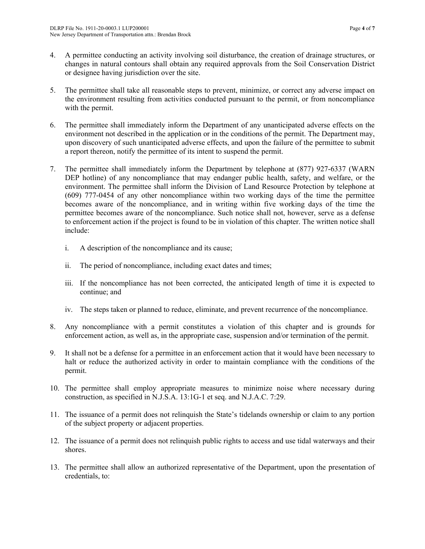- 4. A permittee conducting an activity involving soil disturbance, the creation of drainage structures, or changes in natural contours shall obtain any required approvals from the Soil Conservation District or designee having jurisdiction over the site.
- 5. The permittee shall take all reasonable steps to prevent, minimize, or correct any adverse impact on the environment resulting from activities conducted pursuant to the permit, or from noncompliance with the permit.
- 6. The permittee shall immediately inform the Department of any unanticipated adverse effects on the environment not described in the application or in the conditions of the permit. The Department may, upon discovery of such unanticipated adverse effects, and upon the failure of the permittee to submit a report thereon, notify the permittee of its intent to suspend the permit.
- 7. The permittee shall immediately inform the Department by telephone at (877) 927-6337 (WARN DEP hotline) of any noncompliance that may endanger public health, safety, and welfare, or the environment. The permittee shall inform the Division of Land Resource Protection by telephone at (609) 777-0454 of any other noncompliance within two working days of the time the permittee becomes aware of the noncompliance, and in writing within five working days of the time the permittee becomes aware of the noncompliance. Such notice shall not, however, serve as a defense to enforcement action if the project is found to be in violation of this chapter. The written notice shall include:
	- i. A description of the noncompliance and its cause;
	- ii. The period of noncompliance, including exact dates and times;
	- iii. If the noncompliance has not been corrected, the anticipated length of time it is expected to continue; and
	- iv. The steps taken or planned to reduce, eliminate, and prevent recurrence of the noncompliance.
- 8. Any noncompliance with a permit constitutes a violation of this chapter and is grounds for enforcement action, as well as, in the appropriate case, suspension and/or termination of the permit.
- 9. It shall not be a defense for a permittee in an enforcement action that it would have been necessary to halt or reduce the authorized activity in order to maintain compliance with the conditions of the permit.
- 10. The permittee shall employ appropriate measures to minimize noise where necessary during construction, as specified in N.J.S.A. 13:1G-1 et seq. and N.J.A.C. 7:29.
- 11. The issuance of a permit does not relinquish the State's tidelands ownership or claim to any portion of the subject property or adjacent properties.
- 12. The issuance of a permit does not relinquish public rights to access and use tidal waterways and their shores.
- 13. The permittee shall allow an authorized representative of the Department, upon the presentation of credentials, to: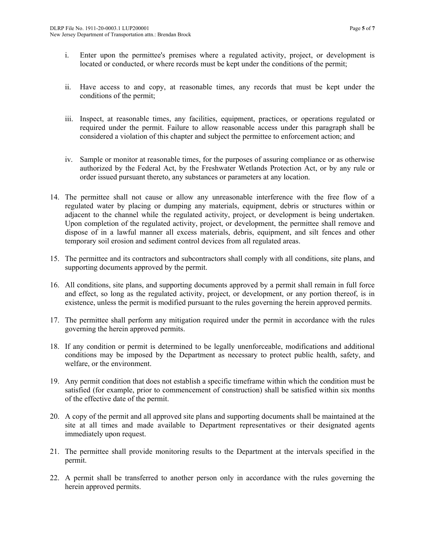- i. Enter upon the permittee's premises where a regulated activity, project, or development is located or conducted, or where records must be kept under the conditions of the permit;
- ii. Have access to and copy, at reasonable times, any records that must be kept under the conditions of the permit;
- iii. Inspect, at reasonable times, any facilities, equipment, practices, or operations regulated or required under the permit. Failure to allow reasonable access under this paragraph shall be considered a violation of this chapter and subject the permittee to enforcement action; and
- iv. Sample or monitor at reasonable times, for the purposes of assuring compliance or as otherwise authorized by the Federal Act, by the Freshwater Wetlands Protection Act, or by any rule or order issued pursuant thereto, any substances or parameters at any location.
- 14. The permittee shall not cause or allow any unreasonable interference with the free flow of a regulated water by placing or dumping any materials, equipment, debris or structures within or adjacent to the channel while the regulated activity, project, or development is being undertaken. Upon completion of the regulated activity, project, or development, the permittee shall remove and dispose of in a lawful manner all excess materials, debris, equipment, and silt fences and other temporary soil erosion and sediment control devices from all regulated areas.
- 15. The permittee and its contractors and subcontractors shall comply with all conditions, site plans, and supporting documents approved by the permit.
- 16. All conditions, site plans, and supporting documents approved by a permit shall remain in full force and effect, so long as the regulated activity, project, or development, or any portion thereof, is in existence, unless the permit is modified pursuant to the rules governing the herein approved permits.
- 17. The permittee shall perform any mitigation required under the permit in accordance with the rules governing the herein approved permits.
- 18. If any condition or permit is determined to be legally unenforceable, modifications and additional conditions may be imposed by the Department as necessary to protect public health, safety, and welfare, or the environment.
- 19. Any permit condition that does not establish a specific timeframe within which the condition must be satisfied (for example, prior to commencement of construction) shall be satisfied within six months of the effective date of the permit.
- 20. A copy of the permit and all approved site plans and supporting documents shall be maintained at the site at all times and made available to Department representatives or their designated agents immediately upon request.
- 21. The permittee shall provide monitoring results to the Department at the intervals specified in the permit.
- 22. A permit shall be transferred to another person only in accordance with the rules governing the herein approved permits.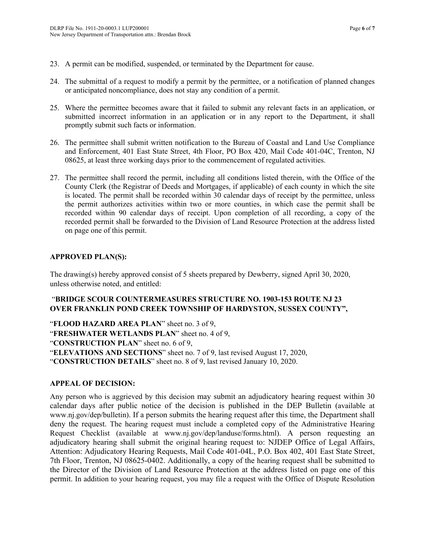- 23. A permit can be modified, suspended, or terminated by the Department for cause.
- 24. The submittal of a request to modify a permit by the permittee, or a notification of planned changes or anticipated noncompliance, does not stay any condition of a permit.
- 25. Where the permittee becomes aware that it failed to submit any relevant facts in an application, or submitted incorrect information in an application or in any report to the Department, it shall promptly submit such facts or information.
- 26. The permittee shall submit written notification to the Bureau of Coastal and Land Use Compliance and Enforcement, 401 East State Street, 4th Floor, PO Box 420, Mail Code 401-04C, Trenton, NJ 08625, at least three working days prior to the commencement of regulated activities.
- 27. The permittee shall record the permit, including all conditions listed therein, with the Office of the County Clerk (the Registrar of Deeds and Mortgages, if applicable) of each county in which the site is located. The permit shall be recorded within 30 calendar days of receipt by the permittee, unless the permit authorizes activities within two or more counties, in which case the permit shall be recorded within 90 calendar days of receipt. Upon completion of all recording, a copy of the recorded permit shall be forwarded to the Division of Land Resource Protection at the address listed on page one of this permit.

### **APPROVED PLAN(S):**

The drawing(s) hereby approved consist of 5 sheets prepared by Dewberry, signed April 30, 2020, unless otherwise noted, and entitled:

### "**BRIDGE SCOUR COUNTERMEASURES STRUCTURE NO. 1903-153 ROUTE NJ 23 OVER FRANKLIN POND CREEK TOWNSHIP OF HARDYSTON, SUSSEX COUNTY",**

"**FLOOD HAZARD AREA PLAN**" sheet no. 3 of 9, "**FRESHWATER WETLANDS PLAN**" sheet no. 4 of 9, "**CONSTRUCTION PLAN**" sheet no. 6 of 9, "**ELEVATIONS AND SECTIONS**" sheet no. 7 of 9, last revised August 17, 2020, "**CONSTRUCTION DETAILS**" sheet no. 8 of 9, last revised January 10, 2020.

### **APPEAL OF DECISION:**

Any person who is aggrieved by this decision may submit an adjudicatory hearing request within 30 calendar days after public notice of the decision is published in the DEP Bulletin (available at www.nj.gov/dep/bulletin). If a person submits the hearing request after this time, the Department shall deny the request. The hearing request must include a completed copy of the Administrative Hearing Request Checklist (available at www.nj.gov/dep/landuse/forms.html). A person requesting an adjudicatory hearing shall submit the original hearing request to: NJDEP Office of Legal Affairs, Attention: Adjudicatory Hearing Requests, Mail Code 401-04L, P.O. Box 402, 401 East State Street, 7th Floor, Trenton, NJ 08625-0402. Additionally, a copy of the hearing request shall be submitted to the Director of the Division of Land Resource Protection at the address listed on page one of this permit. In addition to your hearing request, you may file a request with the Office of Dispute Resolution